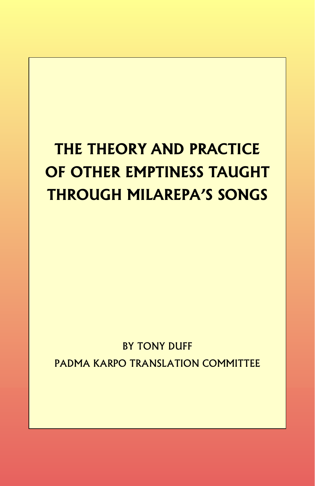# **THE THEORY AND PRACTICE OF OTHER EMPTINESS TAUGHT THROUGH MILAREPA'S SONGS**

## BY TONY DUFF PADMA KARPO TRANSLATION COMMITTEE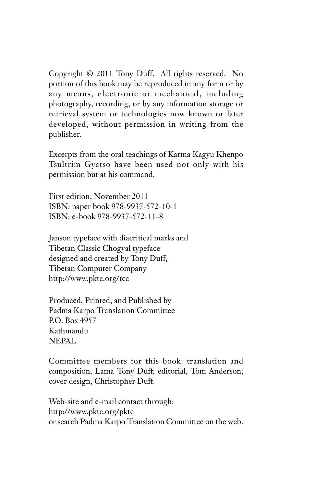Copyright © 2011 Tony Duff. All rights reserved. No portion of this book may be reproduced in any form or by any means, electronic or mechanical, including photography, recording, or by any information storage or retrieval system or technologies now known or later developed, without permission in writing from the publisher.

Excerpts from the oral teachings of Karma Kagyu Khenpo Tsultrim Gyatso have been used not only with his permission but at his command.

First edition, November 2011 ISBN: paper book 978-9937-572-10-1 ISBN: e-book 978-9937-572-11-8

Janson typeface with diacritical marks and Tibetan Classic Chogyal typeface designed and created by Tony Duff, Tibetan Computer Company http://www.pktc.org/tcc

Produced, Printed, and Published by Padma Karpo Translation Committee P.O. Box 4957 Kathmandu NEPAL

Committee members for this book: translation and composition, Lama Tony Duff; editorial, Tom Anderson; cover design, Christopher Duff.

Web-site and e-mail contact through: http://www.pktc.org/pktc or search Padma Karpo Translation Committee on the web.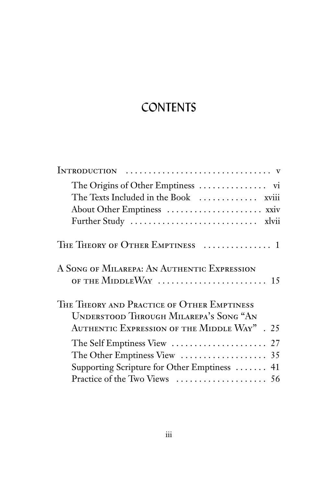# **CONTENTS**

| The Texts Included in the Book  xviii                                                |
|--------------------------------------------------------------------------------------|
| About Other Emptiness  xxiv                                                          |
|                                                                                      |
| THE THEORY OF OTHER EMPTINESS  1                                                     |
| A SONG OF MILAREPA: AN AUTHENTIC EXPRESSION<br>OF THE MIDDLEWAY  15                  |
| THE THEORY AND PRACTICE OF OTHER EMPTINESS<br>UNDERSTOOD THROUGH MILAREPA'S SONG "AN |
| AUTHENTIC EXPRESSION OF THE MIDDLE WAY". 25                                          |
|                                                                                      |
|                                                                                      |
| Supporting Scripture for Other Emptiness  41                                         |
|                                                                                      |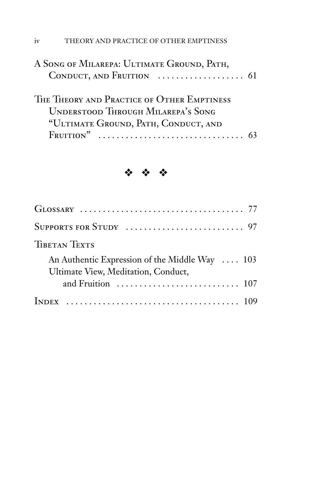| A SONG OF MILAREPA: ULTIMATE GROUND, PATH, |  |
|--------------------------------------------|--|
| THE THEORY AND PRACTICE OF OTHER EMPTINESS |  |
| <b>UNDERSTOOD THROUGH MILAREPA'S SONG</b>  |  |
| "ULTIMATE GROUND, PATH, CONDUCT, AND       |  |
| $F_{\text{RUITION}}$ "                     |  |

### ˜ ˜ ˜

| <b>TIBETAN TEXTS</b>                                                                  |  |
|---------------------------------------------------------------------------------------|--|
| An Authentic Expression of the Middle Way  103<br>Ultimate View, Meditation, Conduct, |  |
| and Fruition $\ldots \ldots \ldots \ldots \ldots \ldots \ldots \ldots \ldots 107$     |  |
|                                                                                       |  |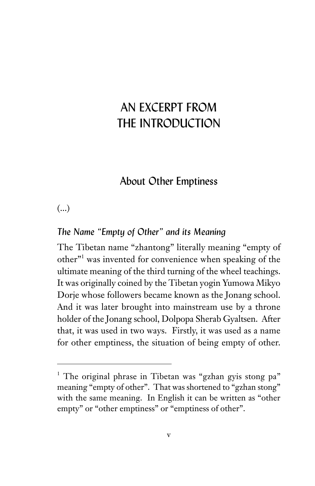### AN EXCERPT FROM THE INTRODUCTION

### About Other Emptiness

#### (...)

#### *The Name "Empty of Other" and its Meaning*

The Tibetan name "zhantong" literally meaning "empty of other"<sup>1</sup> was invented for convenience when speaking of the ultimate meaning of the third turning of the wheel teachings. It was originally coined by the Tibetan yogin Yumowa Mikyo Dorje whose followers became known as the Jonang school. And it was later brought into mainstream use by a throne holder of the Jonang school, Dolpopa Sherab Gyaltsen. After that, it was used in two ways. Firstly, it was used as a name for other emptiness, the situation of being empty of other.

<sup>&</sup>lt;sup>1</sup> The original phrase in Tibetan was "gzhan gyis stong pa" meaning "empty of other". That was shortened to "gzhan stong" with the same meaning. In English it can be written as "other empty" or "other emptiness" or "emptiness of other".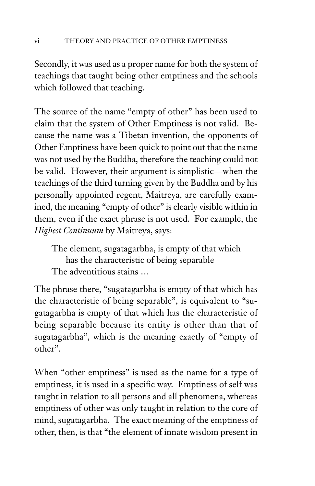Secondly, it was used as a proper name for both the system of teachings that taught being other emptiness and the schools which followed that teaching.

The source of the name "empty of other" has been used to claim that the system of Other Emptiness is not valid. Because the name was a Tibetan invention, the opponents of Other Emptiness have been quick to point out that the name was not used by the Buddha, therefore the teaching could not be valid. However, their argument is simplistic—when the teachings of the third turning given by the Buddha and by his personally appointed regent, Maitreya, are carefully examined, the meaning "empty of other" is clearly visible within in them, even if the exact phrase is not used. For example, the *Highest Continuum* by Maitreya, says:

The element, sugatagarbha, is empty of that which has the characteristic of being separable The adventitious stains …

The phrase there, "sugatagarbha is empty of that which has the characteristic of being separable", is equivalent to "sugatagarbha is empty of that which has the characteristic of being separable because its entity is other than that of sugatagarbha", which is the meaning exactly of "empty of other".

When "other emptiness" is used as the name for a type of emptiness, it is used in a specific way. Emptiness of self was taught in relation to all persons and all phenomena, whereas emptiness of other was only taught in relation to the core of mind, sugatagarbha. The exact meaning of the emptiness of other, then, is that "the element of innate wisdom present in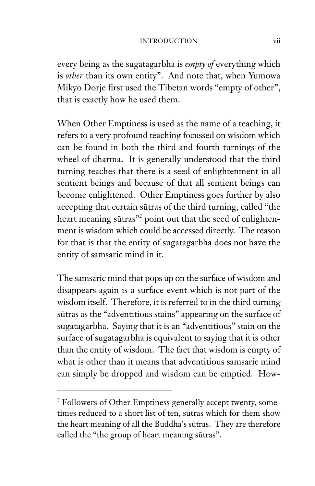every being as the sugatagarbha is *empty of* everything which is *other* than its own entity". And note that, when Yumowa Mikyo Dorje first used the Tibetan words "empty of other", that is exactly how he used them.

When Other Emptiness is used as the name of a teaching, it refers to a very profound teaching focussed on wisdom which can be found in both the third and fourth turnings of the wheel of dharma. It is generally understood that the third turning teaches that there is a seed of enlightenment in all sentient beings and because of that all sentient beings can become enlightened. Other Emptiness goes further by also accepting that certain sūtras of the third turning, called "the heart meaning sūtras"<sup>2</sup> point out that the seed of enlightenment is wisdom which could be accessed directly. The reason for that is that the entity of sugatagarbha does not have the entity of samsaric mind in it.

The samsaric mind that pops up on the surface of wisdom and disappears again is a surface event which is not part of the wisdom itself. Therefore, it is referred to in the third turning sūtras as the "adventitious stains" appearing on the surface of sugatagarbha. Saying that it is an "adventitious" stain on the surface of sugatagarbha is equivalent to saying that it is other than the entity of wisdom. The fact that wisdom is empty of what is other than it means that adventitious samsaric mind can simply be dropped and wisdom can be emptied. How-

<sup>&</sup>lt;sup>2</sup> Followers of Other Emptiness generally accept twenty, sometimes reduced to a short list of ten, sūtras which for them show the heart meaning of all the Buddha's sūtras. They are therefore called the "the group of heart meaning sūtras".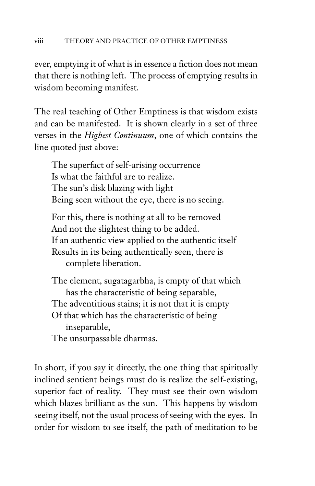ever, emptying it of what is in essence a fiction does not mean that there is nothing left. The process of emptying results in wisdom becoming manifest.

The real teaching of Other Emptiness is that wisdom exists and can be manifested. It is shown clearly in a set of three verses in the *Highest Continuum*, one of which contains the line quoted just above:

The superfact of self-arising occurrence Is what the faithful are to realize. The sun's disk blazing with light Being seen without the eye, there is no seeing.

For this, there is nothing at all to be removed And not the slightest thing to be added. If an authentic view applied to the authentic itself Results in its being authentically seen, there is complete liberation.

The element, sugatagarbha, is empty of that which has the characteristic of being separable, The adventitious stains; it is not that it is empty Of that which has the characteristic of being inseparable, The unsurpassable dharmas.

In short, if you say it directly, the one thing that spiritually inclined sentient beings must do is realize the self-existing, superior fact of reality. They must see their own wisdom which blazes brilliant as the sun. This happens by wisdom seeing itself, not the usual process of seeing with the eyes. In order for wisdom to see itself, the path of meditation to be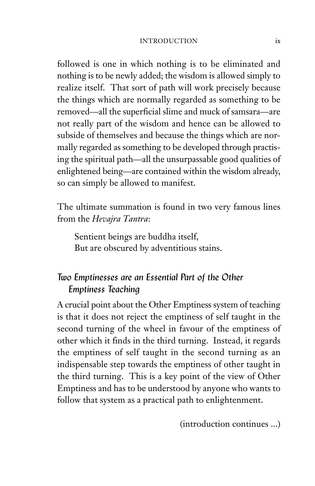#### INTRODUCTION ix

followed is one in which nothing is to be eliminated and nothing is to be newly added; the wisdom is allowed simply to realize itself. That sort of path will work precisely because the things which are normally regarded as something to be removed—all the superficial slime and muck of samsara—are not really part of the wisdom and hence can be allowed to subside of themselves and because the things which are normally regarded as something to be developed through practising the spiritual path—all the unsurpassable good qualities of enlightened being—are contained within the wisdom already, so can simply be allowed to manifest.

The ultimate summation is found in two very famous lines from the *Hevajra Tantra*:

Sentient beings are buddha itself, But are obscured by adventitious stains.

#### *Two Emptinesses are an Essential Part of the Other Emptiness Teaching*

A crucial point about the Other Emptiness system of teaching is that it does not reject the emptiness of self taught in the second turning of the wheel in favour of the emptiness of other which it finds in the third turning. Instead, it regards the emptiness of self taught in the second turning as an indispensable step towards the emptiness of other taught in the third turning. This is a key point of the view of Other Emptiness and has to be understood by anyone who wants to follow that system as a practical path to enlightenment.

(introduction continues ...)